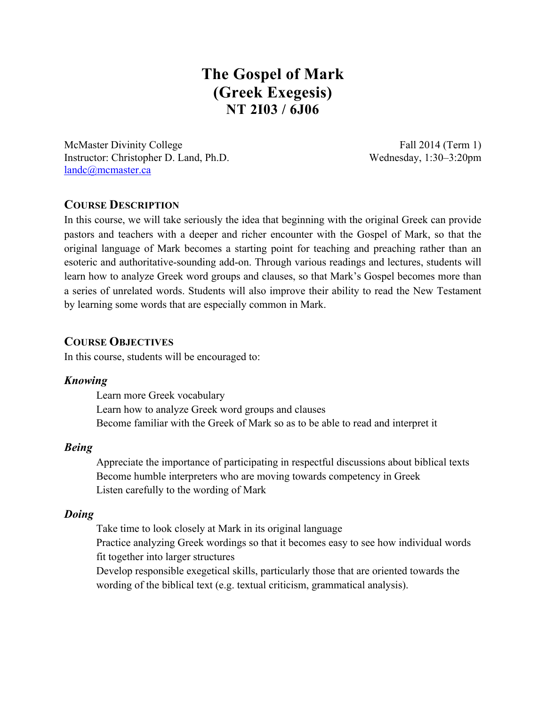# **The Gospel of Mark (Greek Exegesis) NT 2I03 / 6J06**

McMaster Divinity College Fall 2014 (Term 1) Instructor: Christopher D. Land, Ph.D. Wednesday, 1:30–3:20pm landc@mcmaster.ca

## **COURSE DESCRIPTION**

In this course, we will take seriously the idea that beginning with the original Greek can provide pastors and teachers with a deeper and richer encounter with the Gospel of Mark, so that the original language of Mark becomes a starting point for teaching and preaching rather than an esoteric and authoritative-sounding add-on. Through various readings and lectures, students will learn how to analyze Greek word groups and clauses, so that Mark's Gospel becomes more than a series of unrelated words. Students will also improve their ability to read the New Testament by learning some words that are especially common in Mark.

## **COURSE OBJECTIVES**

In this course, students will be encouraged to:

#### *Knowing*

Learn more Greek vocabulary Learn how to analyze Greek word groups and clauses Become familiar with the Greek of Mark so as to be able to read and interpret it

#### *Being*

Appreciate the importance of participating in respectful discussions about biblical texts Become humble interpreters who are moving towards competency in Greek Listen carefully to the wording of Mark

## *Doing*

Take time to look closely at Mark in its original language

Practice analyzing Greek wordings so that it becomes easy to see how individual words fit together into larger structures

Develop responsible exegetical skills, particularly those that are oriented towards the wording of the biblical text (e.g. textual criticism, grammatical analysis).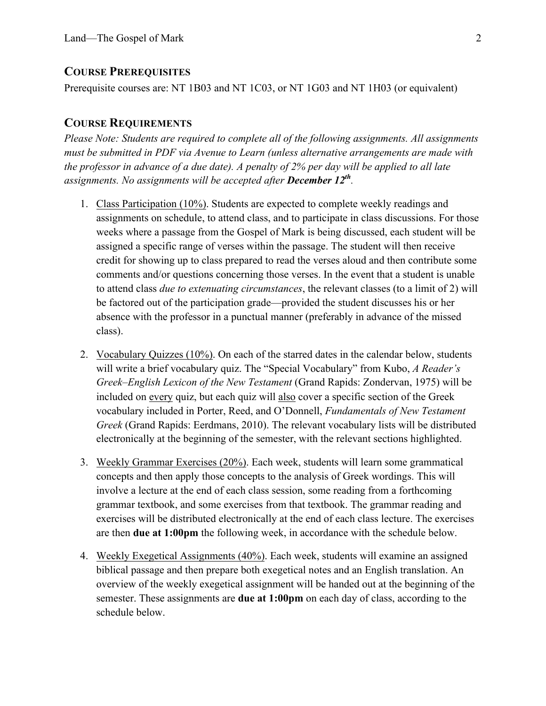#### **COURSE PREREQUISITES**

Prerequisite courses are: NT 1B03 and NT 1C03, or NT 1G03 and NT 1H03 (or equivalent)

#### **COURSE REQUIREMENTS**

*Please Note: Students are required to complete all of the following assignments. All assignments must be submitted in PDF via Avenue to Learn (unless alternative arrangements are made with the professor in advance of a due date). A penalty of 2% per day will be applied to all late assignments. No assignments will be accepted after December 12th.*

- 1. Class Participation (10%). Students are expected to complete weekly readings and assignments on schedule, to attend class, and to participate in class discussions. For those weeks where a passage from the Gospel of Mark is being discussed, each student will be assigned a specific range of verses within the passage. The student will then receive credit for showing up to class prepared to read the verses aloud and then contribute some comments and/or questions concerning those verses. In the event that a student is unable to attend class *due to extenuating circumstances*, the relevant classes (to a limit of 2) will be factored out of the participation grade—provided the student discusses his or her absence with the professor in a punctual manner (preferably in advance of the missed class).
- 2. Vocabulary Quizzes (10%). On each of the starred dates in the calendar below, students will write a brief vocabulary quiz. The "Special Vocabulary" from Kubo, *A Reader's Greek–English Lexicon of the New Testament* (Grand Rapids: Zondervan, 1975) will be included on every quiz, but each quiz will also cover a specific section of the Greek vocabulary included in Porter, Reed, and O'Donnell, *Fundamentals of New Testament Greek* (Grand Rapids: Eerdmans, 2010). The relevant vocabulary lists will be distributed electronically at the beginning of the semester, with the relevant sections highlighted.
- 3. Weekly Grammar Exercises (20%). Each week, students will learn some grammatical concepts and then apply those concepts to the analysis of Greek wordings. This will involve a lecture at the end of each class session, some reading from a forthcoming grammar textbook, and some exercises from that textbook. The grammar reading and exercises will be distributed electronically at the end of each class lecture. The exercises are then **due at 1:00pm** the following week, in accordance with the schedule below.
- 4. Weekly Exegetical Assignments (40%). Each week, students will examine an assigned biblical passage and then prepare both exegetical notes and an English translation. An overview of the weekly exegetical assignment will be handed out at the beginning of the semester. These assignments are **due at 1:00pm** on each day of class, according to the schedule below.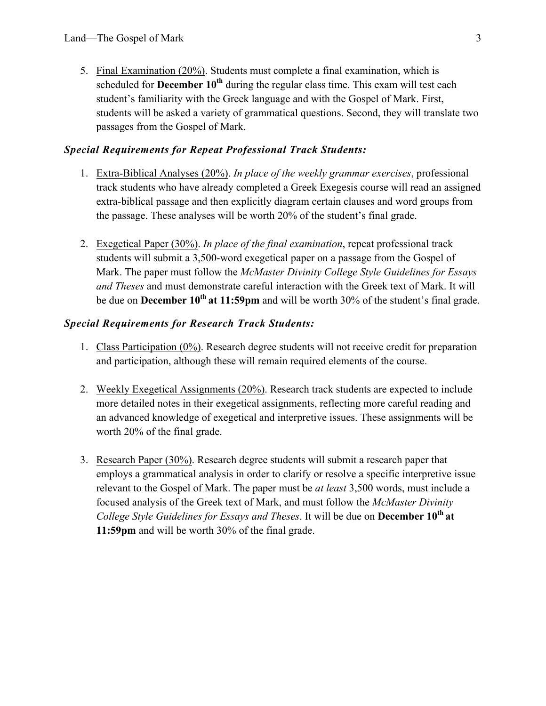5. Final Examination (20%). Students must complete a final examination, which is scheduled for **December 10<sup>th</sup>** during the regular class time. This exam will test each student's familiarity with the Greek language and with the Gospel of Mark. First, students will be asked a variety of grammatical questions. Second, they will translate two passages from the Gospel of Mark.

## *Special Requirements for Repeat Professional Track Students:*

- 1. Extra-Biblical Analyses (20%). *In place of the weekly grammar exercises*, professional track students who have already completed a Greek Exegesis course will read an assigned extra-biblical passage and then explicitly diagram certain clauses and word groups from the passage. These analyses will be worth 20% of the student's final grade.
- 2. Exegetical Paper (30%). *In place of the final examination*, repeat professional track students will submit a 3,500-word exegetical paper on a passage from the Gospel of Mark. The paper must follow the *McMaster Divinity College Style Guidelines for Essays and Theses* and must demonstrate careful interaction with the Greek text of Mark. It will be due on **December 10th at 11:59pm** and will be worth 30% of the student's final grade.

## *Special Requirements for Research Track Students:*

- 1. Class Participation (0%). Research degree students will not receive credit for preparation and participation, although these will remain required elements of the course.
- 2. Weekly Exegetical Assignments (20%). Research track students are expected to include more detailed notes in their exegetical assignments, reflecting more careful reading and an advanced knowledge of exegetical and interpretive issues. These assignments will be worth 20% of the final grade.
- 3. Research Paper (30%). Research degree students will submit a research paper that employs a grammatical analysis in order to clarify or resolve a specific interpretive issue relevant to the Gospel of Mark. The paper must be *at least* 3,500 words, must include a focused analysis of the Greek text of Mark, and must follow the *McMaster Divinity College Style Guidelines for Essays and Theses*. It will be due on **December 10th at 11:59pm** and will be worth 30% of the final grade.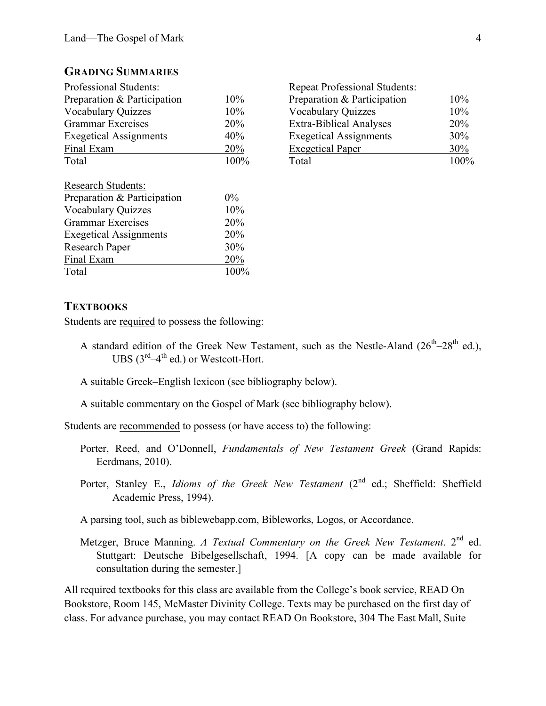#### **GRADING SUMMARIES**

|       | <b>Repeat Professional Students:</b> |      |
|-------|--------------------------------------|------|
| 10%   | Preparation & Participation          | 10%  |
| 10%   | <b>Vocabulary Quizzes</b>            | 10%  |
| 20%   | <b>Extra-Biblical Analyses</b>       | 20%  |
| 40%   | <b>Exegetical Assignments</b>        | 30%  |
| 20%   | <b>Exegetical Paper</b>              | 30%  |
| 100%  | Total                                | 100% |
|       |                                      |      |
| $0\%$ |                                      |      |
| 10%   |                                      |      |
| 20%   |                                      |      |
| 20%   |                                      |      |
| 30%   |                                      |      |
| 20%   |                                      |      |
| 100%  |                                      |      |
|       |                                      |      |

|         | <b>Repeat Professional Students:</b> |      |
|---------|--------------------------------------|------|
| 10%     | Preparation & Participation          | 10%  |
| 10%     | <b>Vocabulary Quizzes</b>            | 10%  |
| 20%     | <b>Extra-Biblical Analyses</b>       | 20%  |
| 40%     | <b>Exegetical Assignments</b>        | 30%  |
| 20%     | <b>Exegetical Paper</b>              | 30%  |
| $100\%$ | Total                                | 100% |
|         |                                      |      |

## **TEXTBOOKS**

Students are required to possess the following:

- A standard edition of the Greek New Testament, such as the Nestle-Aland  $(26<sup>th</sup>-28<sup>th</sup>$  ed.), UBS  $(3^{rd}-4^{th}$  ed.) or Westcott-Hort.
- A suitable Greek–English lexicon (see bibliography below).

A suitable commentary on the Gospel of Mark (see bibliography below).

Students are recommended to possess (or have access to) the following:

- Porter, Reed, and O'Donnell, *Fundamentals of New Testament Greek* (Grand Rapids: Eerdmans, 2010).
- Porter, Stanley E., *Idioms of the Greek New Testament* (2<sup>nd</sup> ed.; Sheffield: Sheffield Academic Press, 1994).
- A parsing tool, such as biblewebapp.com, Bibleworks, Logos, or Accordance.
- Metzger, Bruce Manning. *A Textual Commentary on the Greek New Testament*. 2<sup>nd</sup> ed. Stuttgart: Deutsche Bibelgesellschaft, 1994. [A copy can be made available for consultation during the semester.]

All required textbooks for this class are available from the College's book service, READ On Bookstore, Room 145, McMaster Divinity College. Texts may be purchased on the first day of class. For advance purchase, you may contact READ On Bookstore, 304 The East Mall, Suite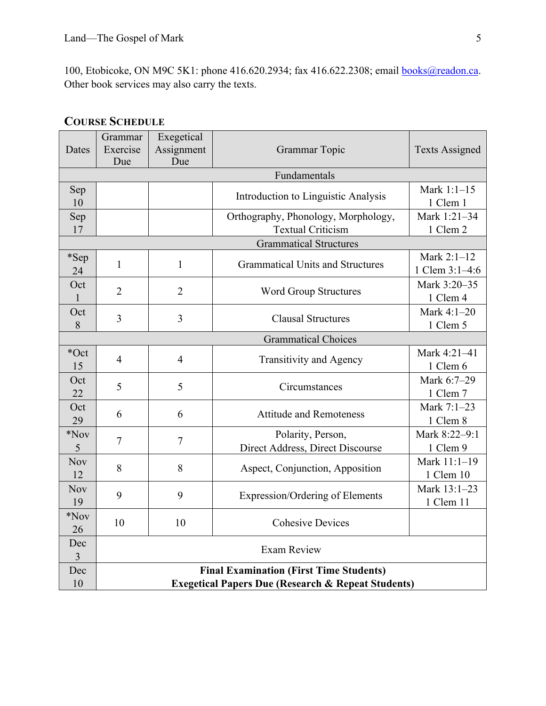100, Etobicoke, ON M9C 5K1: phone 416.620.2934; fax 416.622.2308; email books@readon.ca. Other book services may also carry the texts.

| Dates               | Grammar<br>Exercise<br>Due                                                                                      | Exegetical<br>Assignment<br>Due | Grammar Topic                                                   | <b>Texts Assigned</b>         |  |  |  |  |
|---------------------|-----------------------------------------------------------------------------------------------------------------|---------------------------------|-----------------------------------------------------------------|-------------------------------|--|--|--|--|
|                     | Fundamentals                                                                                                    |                                 |                                                                 |                               |  |  |  |  |
| Sep<br>10           |                                                                                                                 |                                 | Introduction to Linguistic Analysis                             | Mark 1:1-15<br>1 Clem 1       |  |  |  |  |
| Sep<br>17           |                                                                                                                 |                                 | Orthography, Phonology, Morphology,<br><b>Textual Criticism</b> | Mark 1:21-34<br>1 Clem 2      |  |  |  |  |
|                     | <b>Grammatical Structures</b>                                                                                   |                                 |                                                                 |                               |  |  |  |  |
| *Sep<br>24          | 1                                                                                                               | $\mathbf{1}$                    | <b>Grammatical Units and Structures</b>                         | Mark 2:1-12<br>1 Clem 3:1-4:6 |  |  |  |  |
| Oct<br>$\mathbf{1}$ | $\overline{2}$                                                                                                  | $\overline{2}$                  | <b>Word Group Structures</b>                                    | Mark 3:20-35<br>1 Clem 4      |  |  |  |  |
| Oct<br>8            | 3                                                                                                               | $\overline{3}$                  | <b>Clausal Structures</b>                                       | Mark 4:1-20<br>1 Clem 5       |  |  |  |  |
|                     | <b>Grammatical Choices</b>                                                                                      |                                 |                                                                 |                               |  |  |  |  |
| *Oct<br>15          | $\overline{4}$                                                                                                  | $\overline{4}$                  | Transitivity and Agency                                         | Mark 4:21-41<br>1 Clem 6      |  |  |  |  |
| Oct<br>22           | 5                                                                                                               | 5                               | Circumstances                                                   | Mark 6:7-29<br>1 Clem 7       |  |  |  |  |
| Oct<br>29           | 6                                                                                                               | 6                               | <b>Attitude and Remoteness</b>                                  | Mark 7:1-23<br>1 Clem 8       |  |  |  |  |
| $*$ Nov<br>5        | $\tau$                                                                                                          | $\overline{7}$                  | Polarity, Person,<br>Direct Address, Direct Discourse           | Mark 8:22-9:1<br>1 Clem 9     |  |  |  |  |
| <b>Nov</b><br>12    | 8                                                                                                               | 8                               | Aspect, Conjunction, Apposition                                 | Mark 11:1-19<br>1 Clem 10     |  |  |  |  |
| <b>Nov</b><br>19    | 9                                                                                                               | 9                               | <b>Expression/Ordering of Elements</b>                          | Mark 13:1-23<br>1 Clem 11     |  |  |  |  |
| $*$ Nov<br>26       | 10                                                                                                              | 10                              | <b>Cohesive Devices</b>                                         |                               |  |  |  |  |
| Dec<br>3            | <b>Exam Review</b>                                                                                              |                                 |                                                                 |                               |  |  |  |  |
| Dec<br>10           | <b>Final Examination (First Time Students)</b><br><b>Exegetical Papers Due (Research &amp; Repeat Students)</b> |                                 |                                                                 |                               |  |  |  |  |

## **COURSE SCHEDULE**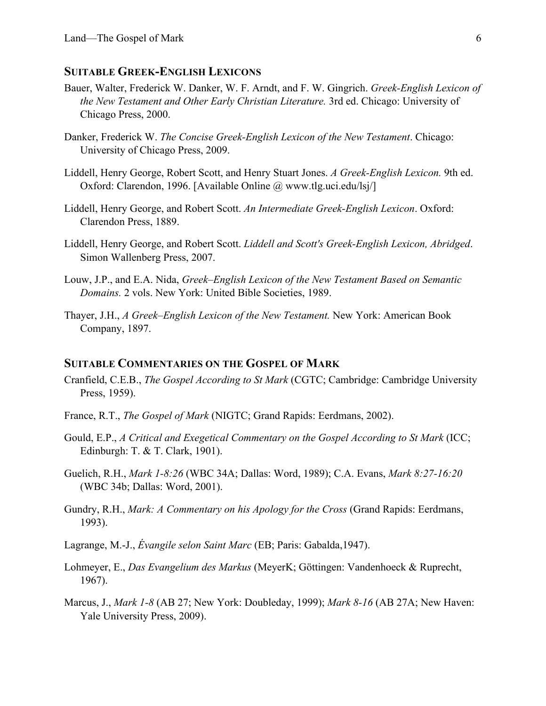#### **SUITABLE GREEK-ENGLISH LEXICONS**

- Bauer, Walter, Frederick W. Danker, W. F. Arndt, and F. W. Gingrich. *Greek-English Lexicon of the New Testament and Other Early Christian Literature.* 3rd ed. Chicago: University of Chicago Press, 2000.
- Danker, Frederick W. *The Concise Greek-English Lexicon of the New Testament*. Chicago: University of Chicago Press, 2009.
- Liddell, Henry George, Robert Scott, and Henry Stuart Jones. *A Greek-English Lexicon.* 9th ed. Oxford: Clarendon, 1996. [Available Online @ www.tlg.uci.edu/lsj/]
- Liddell, Henry George, and Robert Scott. *An Intermediate Greek-English Lexicon*. Oxford: Clarendon Press, 1889.
- Liddell, Henry George, and Robert Scott. *Liddell and Scott's Greek-English Lexicon, Abridged*. Simon Wallenberg Press, 2007.
- Louw, J.P., and E.A. Nida, *Greek–English Lexicon of the New Testament Based on Semantic Domains.* 2 vols. New York: United Bible Societies, 1989.
- Thayer, J.H., *A Greek–English Lexicon of the New Testament.* New York: American Book Company, 1897.

#### **SUITABLE COMMENTARIES ON THE GOSPEL OF MARK**

- Cranfield, C.E.B., *The Gospel According to St Mark* (CGTC; Cambridge: Cambridge University Press, 1959).
- France, R.T., *The Gospel of Mark* (NIGTC; Grand Rapids: Eerdmans, 2002).
- Gould, E.P., *A Critical and Exegetical Commentary on the Gospel According to St Mark* (ICC; Edinburgh: T. & T. Clark, 1901).
- Guelich, R.H., *Mark 1-8:26* (WBC 34A; Dallas: Word, 1989); C.A. Evans, *Mark 8:27-16:20* (WBC 34b; Dallas: Word, 2001).
- Gundry, R.H., *Mark: A Commentary on his Apology for the Cross* (Grand Rapids: Eerdmans, 1993).

Lagrange, M.-J., *Évangile selon Saint Marc* (EB; Paris: Gabalda,1947).

- Lohmeyer, E., *Das Evangelium des Markus* (MeyerK; Göttingen: Vandenhoeck & Ruprecht, 1967).
- Marcus, J., *Mark 1-8* (AB 27; New York: Doubleday, 1999); *Mark 8-16* (AB 27A; New Haven: Yale University Press, 2009).